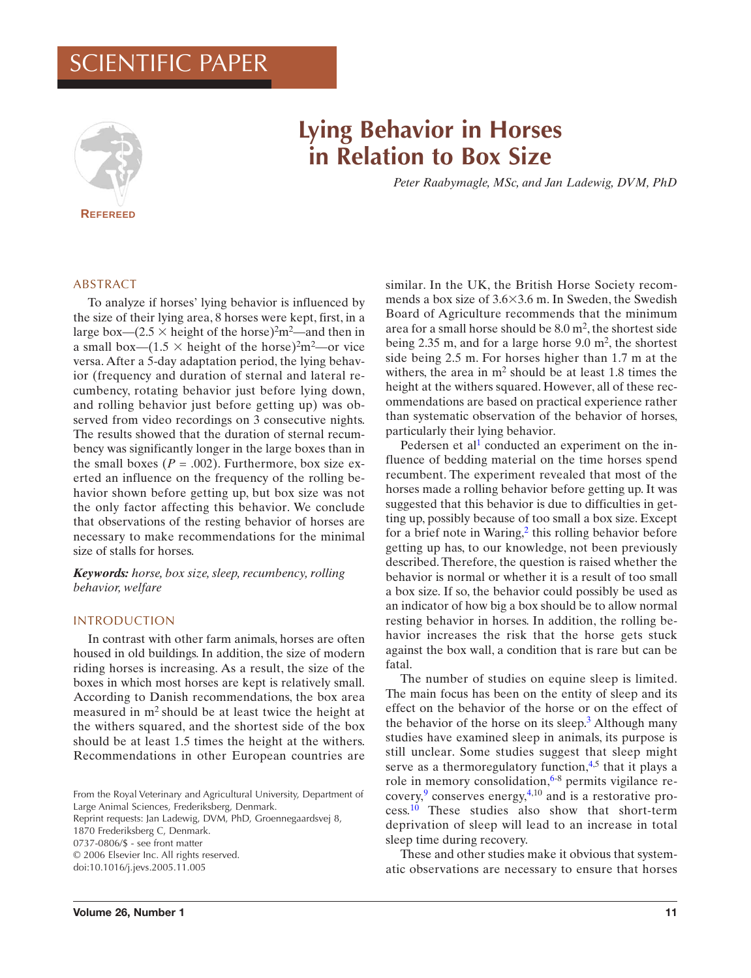## ENTIFIC PAPER



# **Lying Behavior in Horses in Relation to Box Size**

*Peter Raabymagle, MSc, and Jan Ladewig, DVM, PhD*

## ABSTRACT

To analyze if horses' lying behavior is influenced by the size of their lying area, 8 horses were kept, first, in a large box—(2.5  $\times$  height of the horse)<sup>2</sup>m<sup>2</sup>—and then in a small box— $(1.5 \times \text{height of the horse})^2\text{m}^2$ —or vice versa. After a 5-day adaptation period, the lying behavior (frequency and duration of sternal and lateral recumbency, rotating behavior just before lying down, and rolling behavior just before getting up) was observed from video recordings on 3 consecutive nights. The results showed that the duration of sternal recumbency was significantly longer in the large boxes than in the small boxes  $(P = .002)$ . Furthermore, box size exerted an influence on the frequency of the rolling behavior shown before getting up, but box size was not the only factor affecting this behavior. We conclude that observations of the resting behavior of horses are necessary to make recommendations for the minimal size of stalls for horses.

*Keywords: horse, box size, sleep, recumbency, rolling behavior, welfare*

### INTRODUCTION

In contrast with other farm animals, horses are often housed in old buildings. In addition, the size of modern riding horses is increasing. As a result, the size of the boxes in which most horses are kept is relatively small. According to Danish recommendations, the box area measured in m<sup>2</sup> should be at least twice the height at the withers squared, and the shortest side of the box should be at least 1.5 times the height at the withers. Recommendations in other European countries are

From the Royal Veterinary and Agricultural University, Department of Large Animal Sciences, Frederiksberg, Denmark.

Reprint requests: Jan Ladewig, DVM, PhD, Groennegaardsvej 8, 1870 Frederiksberg C, Denmark. 0737-0806/\$ - see front matter

© 2006 Elsevier Inc. All rights reserved. doi:10.1016/j.jevs.2005.11.005

similar. In the UK, the British Horse Society recommends a box size of  $3.6 \times 3.6$  m. In Sweden, the Swedish Board of Agriculture recommends that the minimum area for a small horse should be  $8.0 \text{ m}^2$ , the shortest side being 2.35 m, and for a large horse  $9.0 \text{ m}^2$ , the shortest side being 2.5 m. For horses higher than 1.7 m at the withers, the area [i](#page-6-0)n  $m<sup>2</sup>$  should be at least 1.8 times the height at the withers squared. However, all of these recommendations are based on practical experience rather than systematic observation of the behavior of horses, particularly their lying behavior.

Pedersen et al<sup>1</sup> conducted an experiment on the influence of bedding mater[ia](#page-6-0)l on the time horses spend recumbent. The experiment revealed that most of the horses made a rolling behavior before getting up. It was suggested that this behavior is due to difficulties in getting up, possibly because of too small a box size. Except for a brief note in Waring, $<sup>2</sup>$  this rolling behavior before</sup> getting up has, to our knowledge, not been previously described. Therefore, the question is raised whether the behavior is normal or whether it is a result of too small a box size. If so, the behavior could possibly be used as an indicator of how big a box should be to allow normal resting behavior in horses. In addition, the rolling behavior increases the risk that the horse gets stuck against the box wall, a condition that [is](#page-6-0) rare but can be fatal.

The number of studies on equine sleep is limited. The main focus has been on the entit[y](#page-6-0) of sleep and its effect on the behavior of the [ho](#page-6-0)rse or on the effect of the be[ha](#page-6-0)vior of the horse [on](#page-6-0) its sleep.<sup>3</sup> Although many stud[ies](#page-6-0) have examined sleep in animals, its purpose is still unclear. Some studies suggest that sleep might serve as a thermoregulatory function, $4.5$  that it plays a role in memory consolidation, $6-8$  permits vigilance recovery, <sup>9</sup> conserves energy, 4,10 and is a restorative process.<sup>10</sup> These studies also show that short-term deprivation of sleep will lead to an increase in total sleep time during recovery.

These and other studies make it obvious that systematic observations are necessary to ensure that horses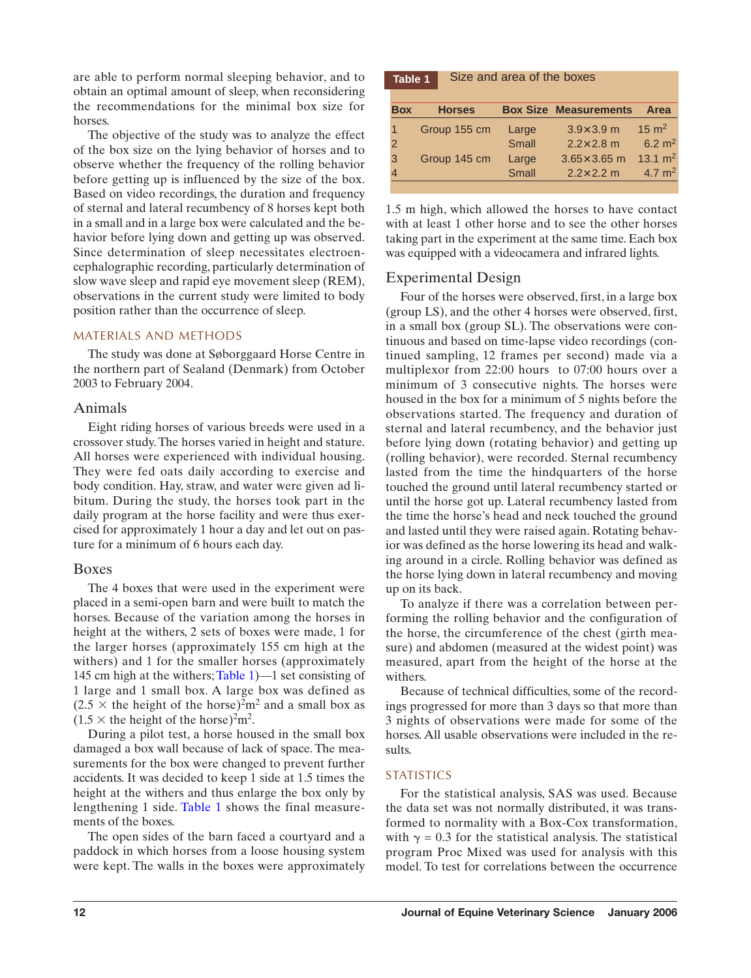are able to perform normal sleeping behavior, and to obtain an optimal amount of sleep, when reconsidering the recommendations for the minimal box size for horses.

The objective of the study was to analyze the effect of the box size on the lying behavior of horses and to observe whether the frequency of the rolling behavior before getting up is influenced by the size of the box. Based on video recordings, the duration and frequency of sternal and lateral recumbency of 8 horses kept both in a small and in a large box were calculated and the behavior before lying down and getting up was observed. Since determination of sleep necessitates electroencephalographic recording, particularly determination of slow wave sleep and rapid eye movement sleep (REM), observations in the current study were limited to body position rather than the occurrence of sleep.

#### MATERIALS AND METHODS

The study was done at Søborggaard Horse Centre in the northern part of Sealand (Denmark) from October 2003 to February 2004.

#### Animals

Eight riding horses of various breeds were used in a crossover study. The horses varied in height and stature. All horses were experienced with individual housing. They were fed oats daily according to exercise and body condition. Hay, straw, and water were given ad libitum. During the study, the horses took part in the daily program at the horse facility and were thus exercised for approximately 1 hour a day and let out on pasture for a minimum of 6 hours each day.

#### Boxes

The 4 boxes that were used in the experiment were placed in a semi-open barn and were built to match the horses. Because of the variation among the horses in height at the withers, 2 sets of boxes were made, 1 for the larger horses (approximately 155 cm high at the withers) and 1 for the smaller horses (approximately 145 cm high at the withers;Table 1)—1 set consisting of 1 large and 1 small box. A large box was defined as  $(2.5 \times$  the height of the horse)<sup>2</sup>m<sup>2</sup> and a small box as  $(1.5 \times$  the height of the horse)<sup>2</sup>m<sup>2</sup>.

During a pilot test, a horse housed in the small box damaged a box wall because of lack of space. The measurements for the box were changed to prevent further accidents. It was decided to keep 1 side at 1.5 times the height at the withers and thus enlarge the box only by lengthening 1 side. Table 1 shows the final measurements of the boxes.

The open sides of the barn faced a courtyard and a paddock in which horses from a loose housing system were kept. The walls in the boxes were approximately

| Table 1 |  |  |  |  | Size and area of the boxes |
|---------|--|--|--|--|----------------------------|
|---------|--|--|--|--|----------------------------|

| <b>Box</b>    | <b>Horses</b> |       | <b>Box Size Measurements</b> | Area               |
|---------------|---------------|-------|------------------------------|--------------------|
| 1             | Group 155 cm  | Large | $3.9 \times 3.9$ m           | $15 \text{ m}^2$   |
| $\mathcal{P}$ |               | Small | $2.2 \times 2.8$ m           | $6.2 \text{ m}^2$  |
| 3             | Group 145 cm  | Large | $3.65 \times 3.65$ m         | $13.1 \text{ m}^2$ |
| 4             |               | Small | $2.2 \times 2.2$ m           | 4.7 $m2$           |
|               |               |       |                              |                    |

1.5 m high, which allowed the horses to have contact with at least 1 other horse and to see the other horses taking part in the experiment at the same time. Each box was equipped with a videocamera and infrared lights.

#### Experimental Design

Four of the horses were observed, first, in a large box (group LS), and the other 4 horses were observed, first, in a small box (group SL). The observations were continuous and based on time-lapse video recordings (continued sampling, 12 frames per second) made via a multiplexor from 22:00 hours to 07:00 hours over a minimum of 3 consecutive nights. The horses were housed in the box for a minimum of 5 nights before the observations started. The frequency and duration of sternal and lateral recumbency, and the behavior just before lying down (rotating behavior) and getting up (rolling behavior), were recorded. Sternal recumbency lasted from the time the hindquarters of the horse touched the ground until lateral recumbency started or until the horse got up. Lateral recumbency lasted from the time the horse's head and neck touched the ground and lasted until they were raised again. Rotating behavior was defined as the horse lowering its head and walking around in a circle. Rolling behavior was defined as the horse lying down in lateral recumbency and moving up on its back.

To analyze if there was a correlation between performing the rolling behavior and the configuration of the horse, the circumference of the chest (girth measure) and abdomen (measured at the widest point) was measured, apart from the height of the horse at the withers.

Because of technical difficulties, some of the recordings progressed for more than 3 days so that more than 3 nights of observations were made for some of the horses. All usable observations were included in the results.

## **STATISTICS**

For the statistical analysis, SAS was used. Because the data set was not normally distributed, it was transformed to normality with a Box-Cox transformation, with  $\gamma = 0.3$  for the statistical analysis. The statistical program Proc Mixed was used for analysis with this model. To test for correlations between the occurrence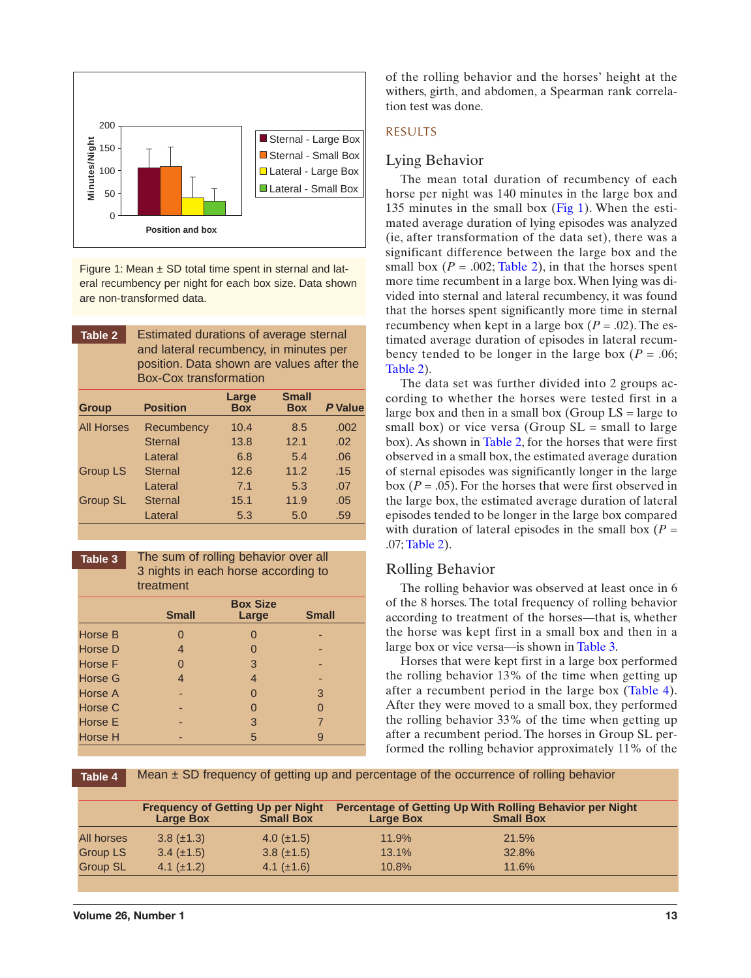<span id="page-2-0"></span>

Figure 1: Mean  $\pm$  SD total time spent in sternal and lateral recumbency per night for each box size. Data shown are non-transformed data.

| Table 2           | Estimated durations of average sternal<br>and lateral recumbency, in minutes per<br>position. Data shown are values after the<br><b>Box-Cox transformation</b> |                     |                            |                |
|-------------------|----------------------------------------------------------------------------------------------------------------------------------------------------------------|---------------------|----------------------------|----------------|
| <b>Group</b>      | <b>Position</b>                                                                                                                                                | Large<br><b>Box</b> | <b>Small</b><br><b>Box</b> | <b>P</b> Value |
| <b>All Horses</b> | Recumbency                                                                                                                                                     | 10.4                | 8.5                        | .002           |
|                   | <b>Sternal</b>                                                                                                                                                 | 13.8                | 12.1                       | .02            |
|                   | Lateral                                                                                                                                                        | 6.8                 | 5.4                        | .06            |
| <b>Group LS</b>   | <b>Sternal</b>                                                                                                                                                 | 12.6                | 11.2                       | .15            |
|                   | Lateral                                                                                                                                                        | 7.1                 | 5.3                        | .07            |
| Group SL          | <b>Sternal</b>                                                                                                                                                 | 15.1                | 11.9                       | .05            |
|                   | Lateral                                                                                                                                                        | 5.3                 | 5.0                        | .59            |

The sum of rolling behavior over all 3 nights in each horse according to treatment **Table 3**

|                | <b>Small</b>   | <b>Box Size</b><br>Large | <b>Small</b> |
|----------------|----------------|--------------------------|--------------|
| <b>Horse B</b> | 0              | 0                        |              |
| Horse D        | $\overline{4}$ | 0                        |              |
| <b>Horse F</b> | 0              | 3                        |              |
| Horse G        | 4              | $\overline{4}$           |              |
| Horse A        |                | 0                        | 3            |
| Horse C        |                | 0                        | O            |
| <b>Horse E</b> |                | 3                        | 7            |
| Horse H        |                | 5                        | g            |

of the rolling behavior and the horses' height at the withers, girth, and abdomen, a Spearman rank correlation test was done.

#### RESULTS

## Lying Behavior

The mean total duration of recumbency of each horse per night was 140 minutes in the large box and 135 minutes in the small box (Fig 1). When the estimated average duration of lying episodes was analyzed (ie, after transformation of the data set), there was a significant difference between the large box and the small box  $(P = .002; \text{Table 2})$ , in that the horses spent more time recumbent in a large box.When lying was divided into sternal and lateral recumbency, it was found that the horses spent significantly more time in sternal recumbency when kept in a large box  $(P = .02)$ . The estimated average duration of episodes in lateral recumbency tended to be longer in the large box ( $P = .06$ ; Table 2).

The data set was further divided into 2 groups according to whether the horses were tested first in a large box and then in a small box (Group  $LS = \text{large to}$ small box) or vice versa (Group  $SL =$  small to large box). As shown in Table 2, for the horses that were first observed in a small box, the estimated average duration of sternal episodes was significantly longer in the large box  $(P = .05)$ . For the horses that were first observed in the large box, the estimated average duration of lateral episodes tended to be longer in the large box compared with duration of lateral episodes in the small box  $(P =$ .07;Table 2).

#### Rolling Behavior

The rolling behavior was observed at least once in 6 of the 8 horses. The total frequency of rolling behavior according to treatment of the horses—that is, whether the horse was kept first in a small box and then in a large box or vice versa—is shown in Table 3.

Horses that were kept first in a large box performed the rolling behavior 13% of the time when getting up after a recumbent period in the large box (Table 4). After they were moved to a small box, they performed the rolling behavior 33% of the time when getting up after a recumbent period. The horses in Group SL performed the rolling behavior approximately 11% of the

**Table 4**

Mean  $\pm$  SD frequency of getting up and percentage of the occurrence of rolling behavior

| <b>Large Box</b>  | <b>Small Box</b> | <b>Large Box</b>                         | Percentage of Getting Up With Rolling Behavior per Night<br><b>Small Box</b> |
|-------------------|------------------|------------------------------------------|------------------------------------------------------------------------------|
| $3.8 \ (\pm 1.3)$ | 4.0 $(\pm 1.5)$  | 11.9%                                    | 21.5%                                                                        |
| $3.4 \ (\pm 1.5)$ | $3.8 (\pm 1.5)$  | 13.1%                                    | 32.8%                                                                        |
| 4.1 $(\pm 1.2)$   | 4.1 $(\pm 1.6)$  | 10.8%                                    | 11.6%                                                                        |
|                   |                  | <b>Frequency of Getting Up per Night</b> |                                                                              |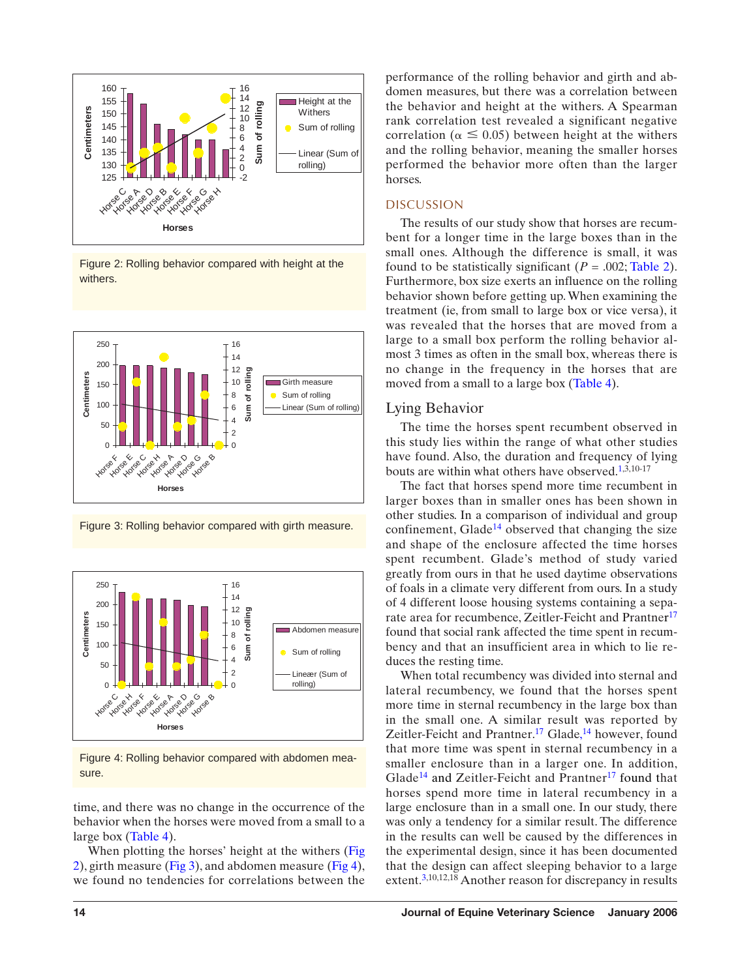

Figure 2: Rolling behavior compared with height at the withers.



Figure 3: Rolling behavior compared with girth measure.



Figure 4: [Rolling b](#page-2-0)ehavior compared with abdomen measure.

time, and there was no change in the occurrence of the behavior when the horses were moved from a small to a large box (Table 4).

When plotting the horses' height at the withers (Fig 2), girth measure (Fig 3), and abdomen measure (Fig 4), we found no tendencies for correlations between the performance of the rolling behavior and girth and abdomen measures, but there was a correlation between the behavior and height at the withers. A Spearman rank correlation test revealed a significant negative correlation ( $\alpha \leq 0.05$ ) between height at the withers and the rolling behavior, meaning the smaller horses performed the behavior more often than the larger horses.

#### DISCUSSION

The results of our study show that horses are recumbent for a longer time in the large boxes than in the small ones. Although the difference is small, it was found to be statistically significant  $(P = .002; \text{Table 2}).$ Furthermore, box size exerts an influence on the rolling behavior shown before getting up. When examining the treatment (ie, from small to large [box or vi](#page-2-0)ce versa), it was revealed that the horses that are moved from a large to a small box perform the rolling behavior almost 3 times as often in the small box, whereas there is no change in the frequency in the horses that are moved from a small to a large box (Table 4)[.](#page-6-0)

#### Lying Behavior

The time the horses spent recumbent observed in this study lies within the range of what other studies have found. Also, t[he](#page-6-0) duration and frequency of lying bouts are within what others have observed. 1,3,10-17

The fact that horses spend more time recumbent in larger boxes than in smaller ones has been shown in other studies. In a comparison of individual and group confinement, Glade<sup>14</sup> observed that changing the size and shape of the enclosure affected the time hors[es](#page-6-0) spent recumbent. Glade's method of study varied greatly from ours in that he used daytime observations of foals in a climate very different from ours. In a study of 4 different loose housing systems containing a separate area for recumbence, Zeitler-Feicht and Prantner<sup>17</sup> found that social rank affected the time spent in recumbency and that an insuffici[en](#page-6-0)t area [in](#page-6-0) which to lie reduces the resting time.

When total recumbency was divided into sternal and lateral recumbency, we found that the horses spent more [tim](#page-6-0)e in sternal recumbency in the l[arg](#page-6-0)e box than in the small one. A similar result was reported by Zeitler-Feicht and Prantner.<sup>17</sup> Glade,<sup>14</sup> however, found that more time was spent in sternal recumbency in a smaller enclosure than in a larger one. In addition, Glade<sup>14</sup> and Zeitler-Feicht and Prantner<sup>17</sup> found that horses spend more time in lateral recumbency in a large [en](#page-6-0)closure than in a small one. In our study, there was only a tendency for a similar result. The difference in the results can well be caused by the differences in the experimental design, since it has been documented that the design can affect sleeping behavior to a large extent.3,10,12,18 Another reason for discrepancy in results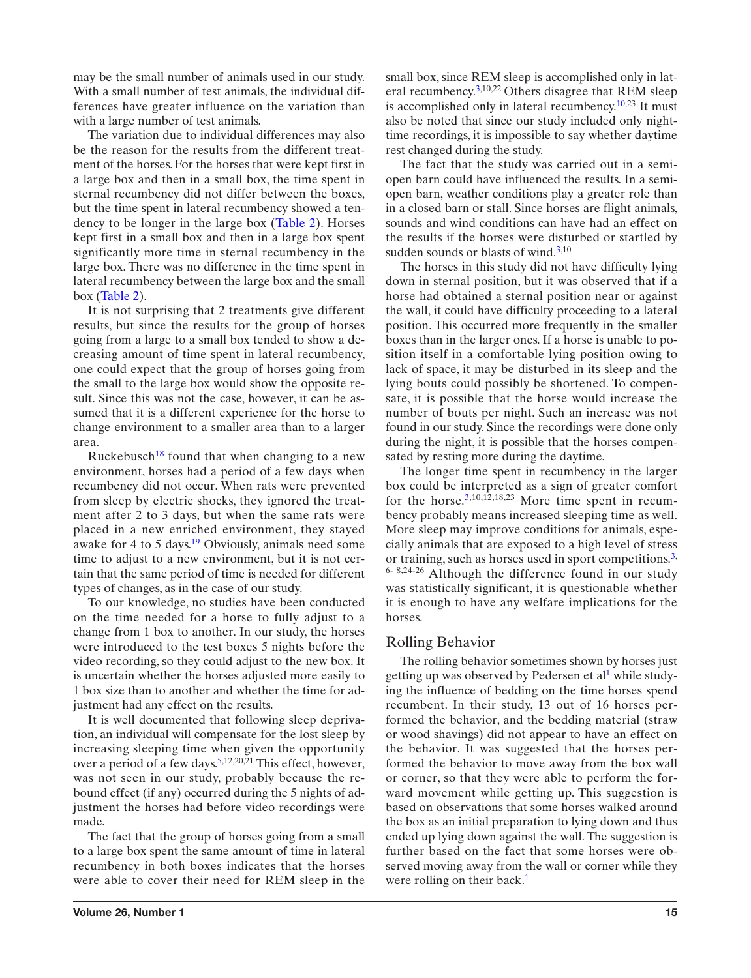may be the small number of animals used in our study. With a small number of test animals, the individual differences have greater influence on the variation than with a large number of test animals.

The variation due to individual differences may also be the reason for the results from th[e differe](#page-2-0)nt treatment of the horses. For the horses that were kept first in a large box and then in a small box, the time spent in sternal recumbency did not differ between the boxes, but the time spent in lateral recumbency showed a tendenc[y to be](#page-2-0) longer in the large box (Table 2). Horses kept first in a small box and then in a large box spent significantly more time in sternal recumbency in the large box. There was no difference in the time spent in lateral recumbency between the large box and the small box (Table 2).

It is not surprising that 2 treatments give different results, but since the results for the group of horses going from a large to a small box tended to show a decreasing amount of time spent in lateral recumbency, one could expect that the group of horses going from the small to th[e la](#page-6-0)rge box would show the opposite result. Since this was not the case, however, it can be assumed that it is a different experience for the horse to change environment to a smaller area than to a larger area.

Ruckebusch<sup>18</sup> found that when changing to a new environment, horses [ha](#page-6-0)d a period of a few days when recumbency did not occur. When rats were prevented from sleep by electric shocks, they ignored the treatment after 2 to 3 days, but when the same rats were placed in a new enriched environment, they stayed awake for 4 to 5 days.<sup>19</sup> Obviously, animals need some time to adjust to a new environment, but it is not certain that the same period of time is needed for different types of changes, as in the case of our study.

To our knowledge, no studies have been conducted on the time needed for a horse to fully adjust to a change from 1 box to another. In our study, the horses were introduced to the test boxes 5 nights before the video recording, so they could adjust to the new box. It is uncertain whether the horses adjusted more easily to 1 box size than to another [an](#page-6-0)d whether the time for adjustment had any effect on the results.

It is well documented that following sleep deprivation, an individual will compensate for the lost sleep by increasing sleeping time when given the opportunity over a period of a few days.<sup>5,12,20,21</sup> This effect, however, was not seen in our study, probably because the rebound effect (if any) occurred during the 5 nights of adjustment the horses had before video recordings were made.

The fact that the group of horses going from a small to a large box spent the same amount of time in lateral recumbency in both boxes indicates that the horses were able to cover their need for REM sleep in the small box, since REM sleep is accomplished only in lateral recumbency.<sup>3,10,22</sup> Others disagree that REM sleep is accomplished only in lateral recumbency.<sup>10,23</sup> It must also be noted that since our study included only nighttime recordings, it is impossible to say whether daytime rest changed during the study.

The fact that the study was carried out in a semiopen barn could have influence[d](#page-6-0) the results. In a semiopen barn, weather conditions play a greater role than in a closed barn or stall. Since horses are flight animals, sounds and wind conditions can have had an effect on the results if the horses were disturbed or startled by sudden sounds or blasts of wind. $3,10$ 

The horses in this study did not have difficulty lying down in sternal position, but it was observed that if a horse had obtained a sternal position near or against the wall, it could have difficulty proceeding to a lateral position. This occurred more frequently in the smaller boxes than in the larger ones. If a horse is unable to position itself in a comfortable lying position owing to lack of space, it may be disturbed in its sleep and the lying bouts could possibly be shortened. To compensate, it is possible that the horse would increase the number of bouts per night. Such an increase was not found in our st[ud](#page-6-0)y. Since the recordings were done only during the night, it is possible that the horses compensated by resting more during the daytime.

The longer time spent in recumbency in the larger box could be interpreted as a sign of greater comfo[rt](#page-6-0) for the horse. 3,10,12,18,23 More time spent in recumbency probably means increased sleeping time as well. More sleep may improve conditions for animals, especially animals that are exposed to a high level of stress or training, such as horses used in sport competitions.<sup>3,</sup> 6- 8,24-26 Although the difference found in our study was statistically significant, it is questionable whether it is enough to have any welfare implic[at](#page-6-0)ions for the horses.

## Rolling Behavior

The rolling behavior sometimes shown by horses just getting up was observed by Pedersen et all while studying the influence of bedding on the time horses spend recumbent. In their study, 13 out of 16 horses performed the behavior, and the bedding material (straw or wood shavings) did not appear to have an effect on the behavior. It was suggested that the horses performed the behavior to move away from the box wall or corner, so that they were able to perform the forward movement while getting up. This suggestion is based on observations tha[t](#page-6-0) some horses walked around the box as an initial preparation to lying down and thus ended up lying down against the wall. The suggestion is further based on the fact that some horses were observed moving away from the wall or corner while they were rolling on their back.<sup>1</sup>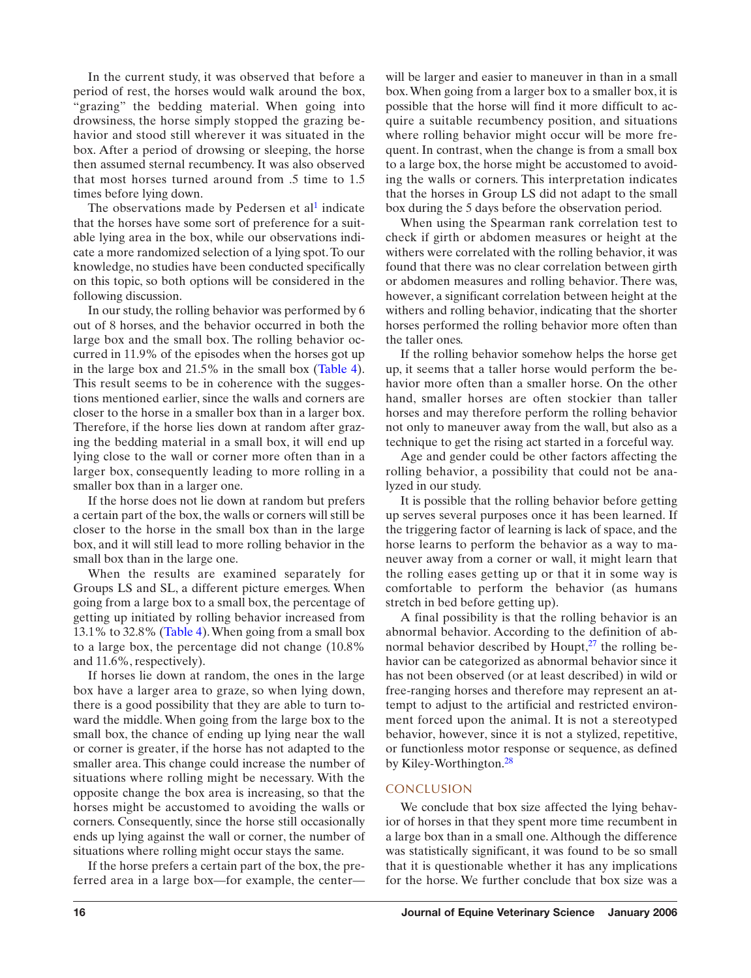In the current study, it was observed that before a period of rest, the horses would walk around the box, "grazing" the bedding material. When going into drowsiness, the horse simply stopped the grazing behavior and stood still wherever it was situa[te](#page-6-0)d in the box. After a period of drowsing or sleeping, the horse then assumed sternal recumbency. It was also observed that most horses turned around from .5 time to 1.5 times before lying down.

The observations made by Pedersen et al<sup>1</sup> indicate that the horses have some sort of preference for a suitable lying area in the box, while our observations indicate a more randomized selection of a lying spot.To our knowledge, no studies have been conducted specifically on this topic, so both options will be considered in the following discussion.

In our study, the rolling behavior was performed by 6 out of 8 horses, and the behavior occurred in both the large box and the small box. The rolling behavior occurred in 11.9% of the episodes when the horses got up in the large box and 21.5% in the small box (Table 4). This result seems to be in coherence with the suggestions mentioned earlier, since the walls and corners are closer to the horse in a smaller box than in a larger box. Therefore, if the horse lies down at random after grazing the bedding material in a small box, it will end up lying close to the wall or corner more often than in a larger box, consequently leading to more rolling in a smaller box than in a larger one.

If the horse does not lie down at random but prefers a certain part of the box, the walls or corners will still be closer to the horse in the small box than in the large box, and it will still lead to more rolling behavior in the small box than i[n the larg](#page-2-0)e one.

When the results are examined separately for Groups LS and SL, a different picture emerges. When going from a large box to a small box, the percentage of getting up initiated by rolling behavior increased from 13.1% to 32.8% (Table 4).When going from a small box to a large box, the percentage did not change (10.8% and 11.6%, respectively).

If horses lie down at random, the ones in the large box have a larger area to graze, so when lying down, there is a good possibility that they are able to turn toward the middle. When going from the large box to the small box, the chance of ending up lying near the wall or corner is greater, if the horse has not adapted to the smaller area. This change could increase the number of situations where rolling might be necessary. With the opposite change the box area is increasing, so that the horses might be accustomed to avoiding the walls or corners. Consequently, since the horse still occasionally ends up lying against the wall or corner, the number of situations where rolling might occur stays the same.

If the horse prefers a certain part of the box, the preferred area in a large box—for example, the center—

will be larger and easier to maneuver in than in a small box.When going from a larger box to a smaller box, it is possible that the horse will find it more difficult to acquire a suitable recumbency position, and situations where rolling behavior might occur will be more frequent. In contrast, when the change is from a small box to a large box, the horse might be accustomed to avoiding the walls or corners. This interpretation indicates that the horses in Group LS did not adapt to the small box during the 5 days before the observation period.

When using the Spearman rank correlation test to check if girth or abdomen measures or height at the withers were correlated with the rolling behavior, it was found that there was no clear correlation between girth or abdomen measures and rolling behavior. There was, however, a significant correlation between height at the withers and rolling behavior, indicating that the shorter horses performed the rolling behavior more often than the taller ones.

If the rolling behavior somehow helps the horse get up, it seems that a taller horse would perform the behavior more often than a smaller horse. On the other hand, smaller horses are often stockier than taller horses and may therefore perform the rolling behavior not only to maneuver away from the wall, but also as a technique to get the rising act started in a forceful way.

Age and gender could be other factors affecting the rolling behavior, a possibility that could not be analyzed in our study.

It is possible that the rolling behavior before getting up serves several purposes once it has been learned. If the triggering factor of learning is lack of space, and the horse learns to perform the behavior as a way to maneuver away from a corner or wall, it might learn that the rolling eases getting up or that i[t i](#page-6-0)n some way is comfortable to perform the behavior (as humans stretch in bed before getting up).

A final possibility is that the rolling behavior is an abnormal behavior. According to the definition of abnormal behavior described by Houpt, $27$  the rolling behavior can be categorized as abnormal behavior since it has not been observed (or at least described) in wild or free-ranging horses a[nd](#page-6-0) therefore may represent an attempt to adjust to the artificial and restricted environment forced upon the animal. It is not a stereotyped behavior, however, since it is not a stylized, repetitive, or functionless motor response or sequence, as defined by Kiley-Worthington.<sup>28</sup>

#### CONCLUSION

We conclude that box size affected the lying behavior of horses in that they spent more time recumbent in a large box than in a small one. Although the difference was statistically significant, it was found to be so small that it is questionable whether it has any implications for the horse. We further conclude that box size was a